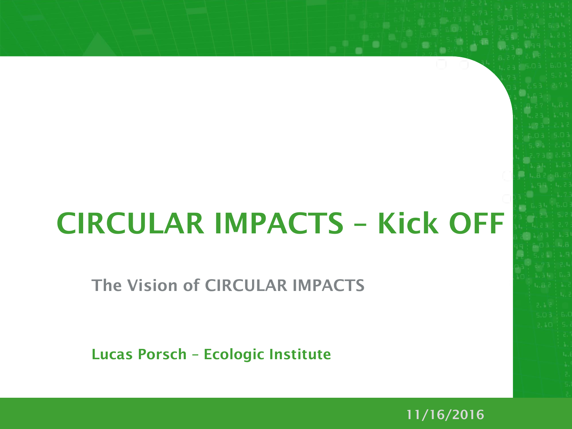# **CIRCULAR IMPACTS – Kick OFF**

**The Vision of CIRCULAR IMPACTS**

**Lucas Porsch – Ecologic Institute**

**11/16/2016**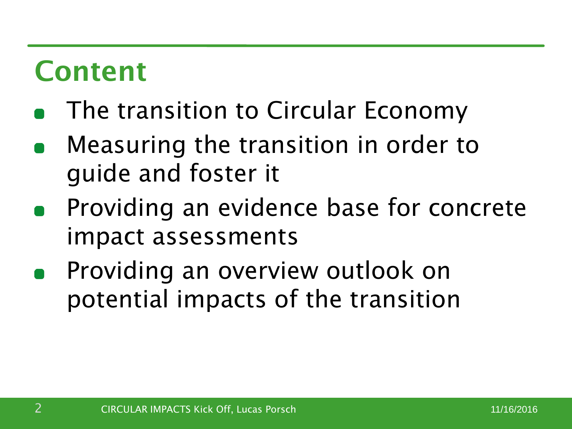#### **Content**

- The transition to Circular Economy
- Measuring the transition in order to guide and foster it
- Providing an evidence base for concrete impact assessments
- Providing an overview outlook on potential impacts of the transition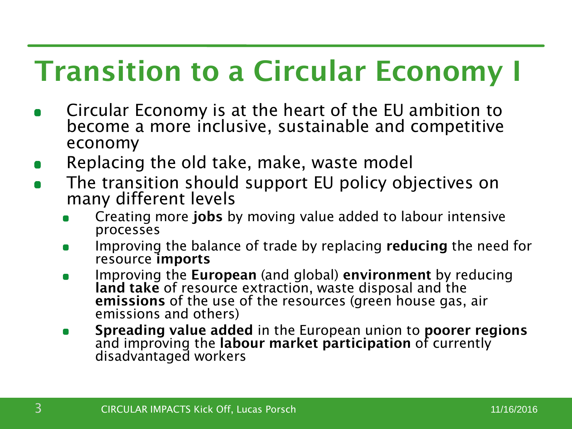# **Transition to a Circular Economy I**

- Circular Economy is at the heart of the EU ambition to become a more inclusive, sustainable and competitive economy
- Replacing the old take, make, waste model
- The transition should support EU policy objectives on many different levels
	- Creating more **jobs** by moving value added to labour intensive processes
	- Improving the balance of trade by replacing **reducing** the need for  $\blacksquare$ resource **imports**
	- Improving the **European** (and global) **environment** by reducing  $\blacksquare$ **land take** of resource extraction, waste disposal and the **emissions** of the use of the resources (green house gas, air emissions and others)
	- **Spreading value added** in the European union to **poorer regions**   $\blacksquare$ and improving the labour market participation of currently disadvantaged workers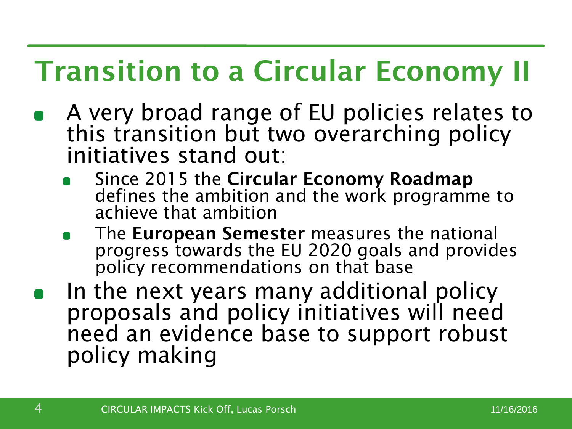# **Transition to a Circular Economy II**

- A very broad range of EU policies relates to this transition but two overarching policy initiatives stand out:
	- Since 2015 the **Circular Economy Roadmap**  defines the ambition and the work programme to achieve that ambition
	- The **European Semester** measures the national progress towards the EU 2020 goals and provides policy recommendations on that base
- In the next years many additional policy proposals and policy initiatives will need need an evidence base to support robust policy making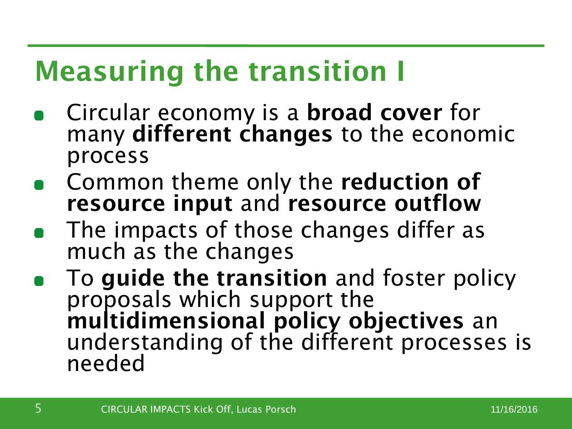# **Measuring the transition I**

- Circular economy is a **broad cover** for many **different changes** to the economic process
- Common theme only the **reduction of resource input** and **resource outflow**
- The impacts of those changes differ as much as the changes
- To **guide the transition** and foster policy proposals which support the **multidimensional policy objectives** an understanding of the different processes is needed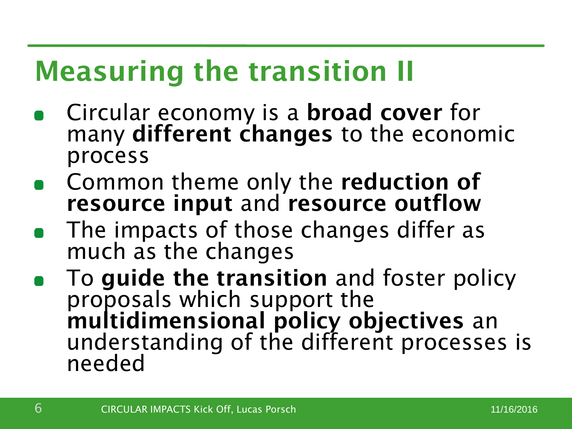# **Measuring the transition II**

- Circular economy is a **broad cover** for many **different changes** to the economic process
- Common theme only the **reduction of resource input** and **resource outflow**
- The impacts of those changes differ as much as the changes
- To **guide the transition** and foster policy proposals which support the **multidimensional policy objectives** an understanding of the different processes is needed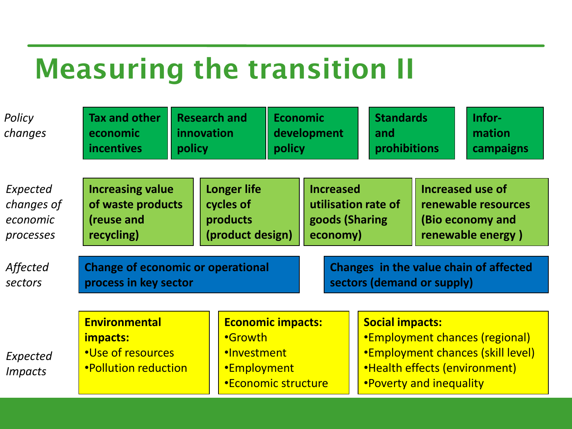#### **Measuring the transition II**

| Policy<br>changes          | <b>Tax and other</b><br>economic<br><b>incentives</b>                                                                         | <b>Research and</b><br>innovation<br>policy |                                                        | <b>Economic</b><br>development<br>policy |                                        |                                                                                                                                                                   | <b>Standards</b><br>and<br>prohibitions |                         |  | Infor-<br>mation<br>campaigns |
|----------------------------|-------------------------------------------------------------------------------------------------------------------------------|---------------------------------------------|--------------------------------------------------------|------------------------------------------|----------------------------------------|-------------------------------------------------------------------------------------------------------------------------------------------------------------------|-----------------------------------------|-------------------------|--|-------------------------------|
| Expected                   | <b>Increasing value</b>                                                                                                       |                                             | <b>Longer life</b>                                     |                                          | <b>Increased</b>                       |                                                                                                                                                                   |                                         | <b>Increased use of</b> |  |                               |
| changes of                 | of waste products                                                                                                             |                                             | cycles of                                              |                                          | utilisation rate of                    |                                                                                                                                                                   |                                         | renewable resources     |  |                               |
| economic                   | (reuse and                                                                                                                    |                                             | products                                               |                                          | goods (Sharing                         |                                                                                                                                                                   |                                         | (Bio economy and        |  |                               |
| processes                  | recycling)                                                                                                                    |                                             | (product design)                                       |                                          | economy)                               |                                                                                                                                                                   |                                         | renewable energy)       |  |                               |
| Affected                   | <b>Change of economic or operational</b>                                                                                      |                                             |                                                        |                                          | Changes in the value chain of affected |                                                                                                                                                                   |                                         |                         |  |                               |
| sectors                    | process in key sector                                                                                                         |                                             |                                                        |                                          | sectors (demand or supply)             |                                                                                                                                                                   |                                         |                         |  |                               |
| Expected<br><b>Impacts</b> | <b>Environmental</b><br>•Growth<br>impacts:<br>•Use of resources<br>·Investment<br><b>•Pollution reduction</b><br>•Employment |                                             | <b>Economic impacts:</b><br><b>*Economic structure</b> |                                          |                                        | <b>Social impacts:</b><br>•Employment chances (regional)<br>•Employment chances (skill level)<br>•Health effects (environment)<br><b>.</b> Poverty and inequality |                                         |                         |  |                               |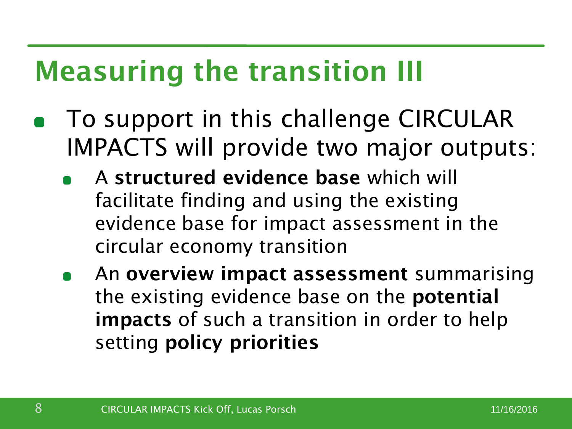## **Measuring the transition III**

- To support in this challenge CIRCULAR IMPACTS will provide two major outputs:
	- A **structured evidence base** which will facilitate finding and using the existing evidence base for impact assessment in the circular economy transition
	- An **overview impact assessment** summarising the existing evidence base on the **potential impacts** of such a transition in order to help setting **policy priorities**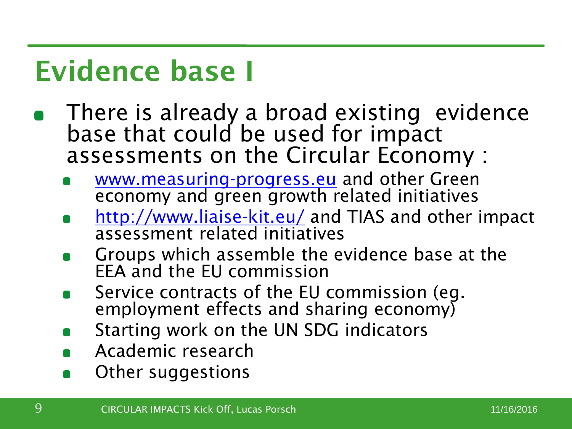## **Evidence base I**

- There is already a broad existing evidence base that could be used for impact assessments on the Circular Economy :
	- [www.measuring-progress.eu](http://www.measuring-progress.eu/) and other Green economy and green growth related initiatives
	- <http://www.liaise-kit.eu/> and TIAS and other impact assessment related initiatives
	- Groups which assemble the evidence base at the EEA and the EU commission
	- Service contracts of the EU commission (eg. employment effects and sharing economy)
	- Starting work on the UN SDG indicators
	- Academic research
	- Other suggestions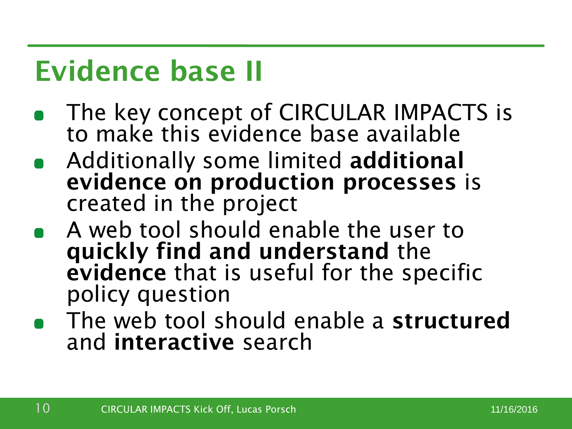#### **Evidence base II**

- The key concept of CIRCULAR IMPACTS is to make this evidence base available
- Additionally some limited **additional evidence on production processes** is created in the project
- A web tool should enable the user to **quickly find and understand** the **evidence** that is useful for the specific policy question
- The web tool should enable a **structured** and **interactive** search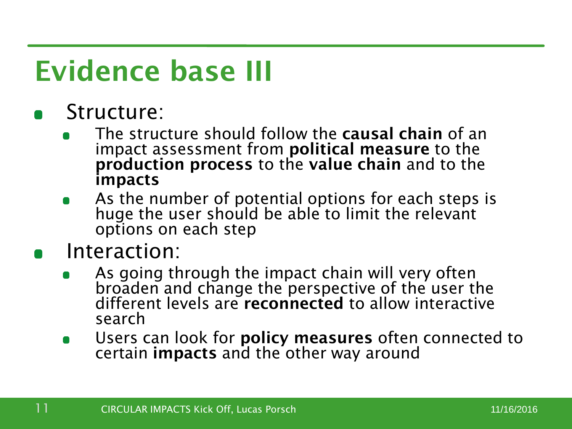# **Evidence base III**

- Structure:
	- The structure should follow the **causal chain** of an impact assessment from **political measure** to the **production process** to the **value chain** and to the **impacts**
	- As the number of potential options for each steps is huge the user should be able to limit the relevant options on each step

#### Interaction:

- As going through the impact chain will very often broaden and change the perspective of the user the different levels are **reconnected** to allow interactive search
- Users can look for **policy measures** often connected to  $\blacksquare$ certain **impacts** and the other way around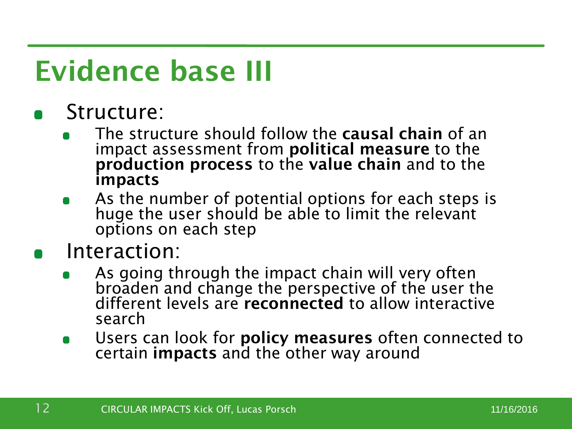# **Evidence base III**

- Structure:
	- The structure should follow the **causal chain** of an impact assessment from **political measure** to the **production process** to the **value chain** and to the **impacts**
	- As the number of potential options for each steps is huge the user should be able to limit the relevant options on each step

#### Interaction:

- As going through the impact chain will very often broaden and change the perspective of the user the different levels are **reconnected** to allow interactive search
- Users can look for **policy measures** often connected to  $\blacksquare$ certain **impacts** and the other way around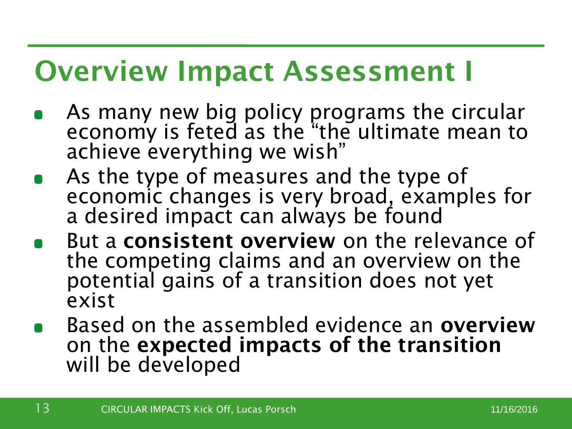#### **Overview Impact Assessment I**

- As many new big policy programs the circular economy is feted as the "the ultimate mean to achieve everything we wish"
- As the type of measures and the type of economic changes is very broad, examples for a desired impact can always be found
- But a **consistent overview** on the relevance of the competing claims and an overview on the potential gains of a transition does not yet exist
- Based on the assembled evidence an **overview**  on the **expected impacts of the transition**  will be developed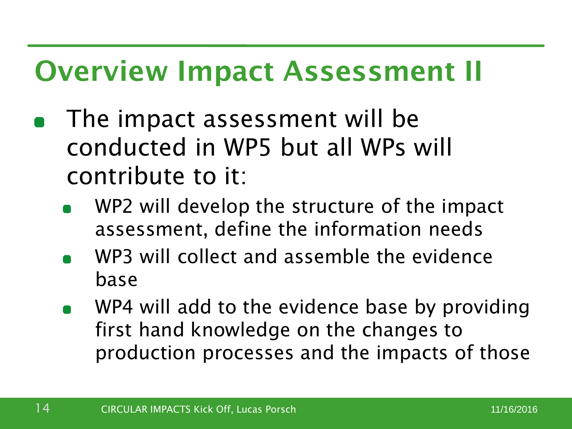#### **Overview Impact Assessment II**

- The impact assessment will be conducted in WP5 but all WPs will contribute to it:
	- WP2 will develop the structure of the impact assessment, define the information needs
	- WP3 will collect and assemble the evidence base
	- WP4 will add to the evidence base by providing first hand knowledge on the changes to production processes and the impacts of those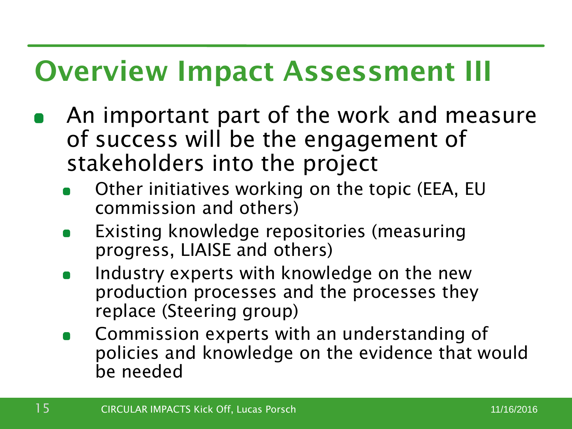#### **Overview Impact Assessment III**

- An important part of the work and measure of success will be the engagement of stakeholders into the project
	- Other initiatives working on the topic (EEA, EU commission and others)
	- Existing knowledge repositories (measuring progress, LIAISE and others)
	- Industry experts with knowledge on the new production processes and the processes they replace (Steering group)
	- Commission experts with an understanding of policies and knowledge on the evidence that would be needed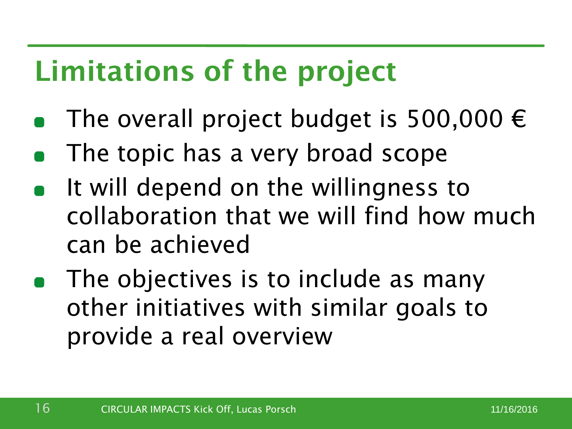# **Limitations of the project**

- The overall project budget is 500,000  $\epsilon$
- The topic has a very broad scope
- It will depend on the willingness to collaboration that we will find how much can be achieved
- The objectives is to include as many other initiatives with similar goals to provide a real overview